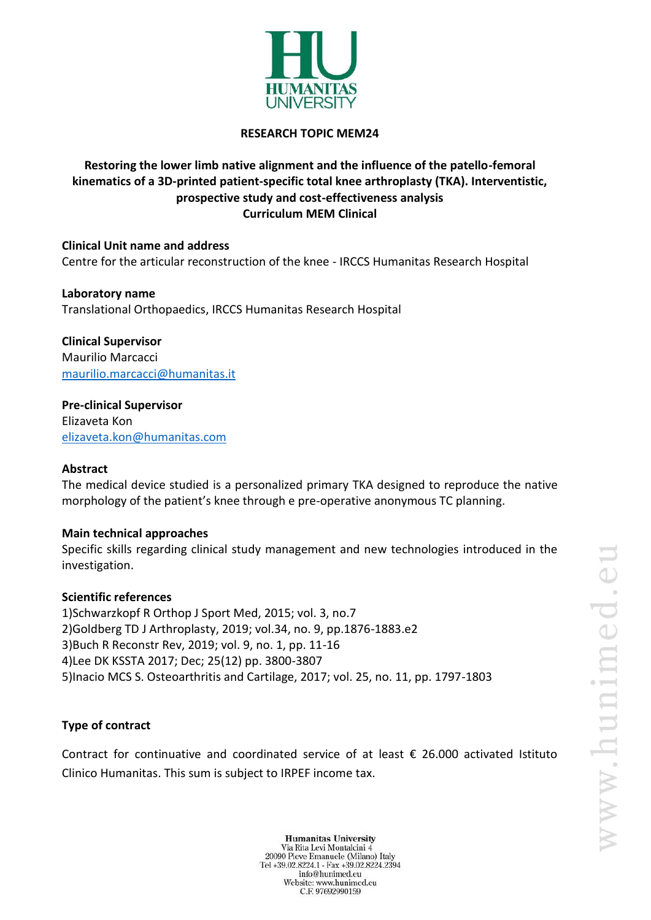

### **RESEARCH TOPIC MEM24**

# **Restoring the lower limb native alignment and the influence of the patello-femoral kinematics of a 3D-printed patient-specific total knee arthroplasty (TKA). Interventistic, prospective study and cost-effectiveness analysis Curriculum MEM Clinical**

**Clinical Unit name and address** Centre for the articular reconstruction of the knee - IRCCS Humanitas Research Hospital

**Laboratory name** Translational Orthopaedics, IRCCS Humanitas Research Hospital

**Clinical Supervisor** Maurilio Marcacci [maurilio.marcacci@humanitas.it](mailto:maurilio.marcacci@humanitas.it)

**Pre-clinical Supervisor** Elizaveta Kon [elizaveta.kon@humanitas.com](mailto:elizaveta.kon@humanitas.com)

#### **Abstract**

The medical device studied is a personalized primary TKA designed to reproduce the native morphology of the patient's knee through e pre-operative anonymous TC planning.

#### **Main technical approaches**

Specific skills regarding clinical study management and new technologies introduced in the investigation.

#### **Scientific references**

1)Schwarzkopf R Orthop J Sport Med, 2015; vol. 3, no.7 2)Goldberg TD J Arthroplasty, 2019; vol.34, no. 9, pp.1876-1883.e2 3)Buch R Reconstr Rev, 2019; vol. 9, no. 1, pp. 11-16 4)Lee DK KSSTA 2017; Dec; 25(12) pp. 3800-3807 5)Inacio MCS S. Osteoarthritis and Cartilage, 2017; vol. 25, no. 11, pp. 1797-1803

## **Type of contract**

Contract for continuative and coordinated service of at least  $\epsilon$  26.000 activated Istituto Clinico Humanitas. This sum is subject to IRPEF income tax.

**Humanitas University** Via Rita Levi Montalcini 4 20090 Pieve Emanuele (Milano) Italy Tel +39.02.8224.1 - Fax +39.02.8224.2394 info@hunimed.eu Website: www.hunimed.eu C.F. 97692990159